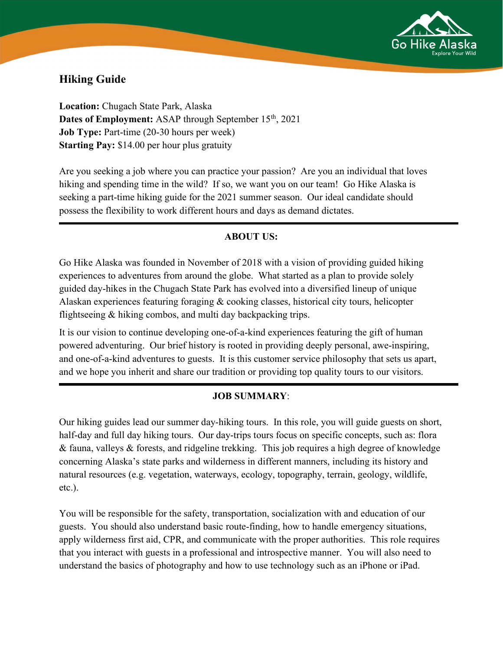

# Hiking Guide

Location: Chugach State Park, Alaska Dates of Employment: ASAP through September 15<sup>th</sup>, 2021 Job Type: Part-time (20-30 hours per week) Starting Pay: \$14.00 per hour plus gratuity

Are you seeking a job where you can practice your passion? Are you an individual that loves hiking and spending time in the wild? If so, we want you on our team! Go Hike Alaska is seeking a part-time hiking guide for the 2021 summer season. Our ideal candidate should possess the flexibility to work different hours and days as demand dictates.

## **ABOUT US:**

Go Hike Alaska was founded in November of 2018 with a vision of providing guided hiking experiences to adventures from around the globe. What started as a plan to provide solely guided day-hikes in the Chugach State Park has evolved into a diversified lineup of unique Alaskan experiences featuring foraging & cooking classes, historical city tours, helicopter flightseeing & hiking combos, and multi day backpacking trips.

It is our vision to continue developing one-of-a-kind experiences featuring the gift of human powered adventuring. Our brief history is rooted in providing deeply personal, awe-inspiring, and one-of-a-kind adventures to guests. It is this customer service philosophy that sets us apart, and we hope you inherit and share our tradition or providing top quality tours to our visitors.

## JOB SUMMARY:

Our hiking guides lead our summer day-hiking tours. In this role, you will guide guests on short, half-day and full day hiking tours. Our day-trips tours focus on specific concepts, such as: flora & fauna, valleys & forests, and ridgeline trekking. This job requires a high degree of knowledge concerning Alaska's state parks and wilderness in different manners, including its history and natural resources (e.g. vegetation, waterways, ecology, topography, terrain, geology, wildlife, etc.).

You will be responsible for the safety, transportation, socialization with and education of our guests. You should also understand basic route-finding, how to handle emergency situations, apply wilderness first aid, CPR, and communicate with the proper authorities. This role requires that you interact with guests in a professional and introspective manner. You will also need to understand the basics of photography and how to use technology such as an iPhone or iPad.